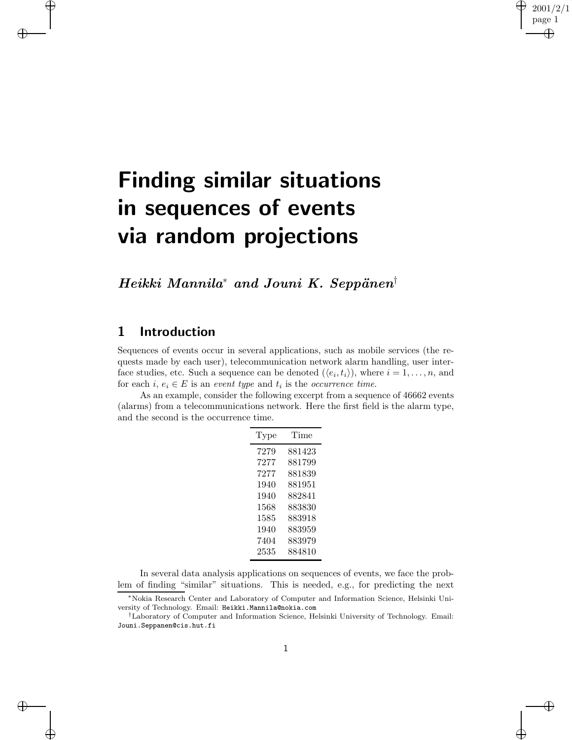# **Finding similar situations in sequences of events via random projections**

*Heikki Mannila<sup>∗</sup> and Jouni K. Seppänen*<sup>†</sup>

## **1 Introduction**

Sequences of events occur in several applications, such as mobile services (the requests made by each user), telecommunication network alarm handling, user interface studies, etc. Such a sequence can be denoted  $(\langle e_i, t_i \rangle)$ , where  $i = 1, \ldots, n$ , and for each  $i, e_i \in E$  is an *event type* and  $t_i$  is the *occurrence time*.

As an example, consider the following excerpt from a sequence of 46662 events (alarms) from a telecommunications network. Here the first field is the alarm type, and the second is the occurrence time.

| Type | Time   |  |  |  |
|------|--------|--|--|--|
| 7279 | 881423 |  |  |  |
| 7277 | 881799 |  |  |  |
| 7277 | 881839 |  |  |  |
| 1940 | 881951 |  |  |  |
| 1940 | 882841 |  |  |  |
| 1568 | 883830 |  |  |  |
| 1585 | 883918 |  |  |  |
| 1940 | 883959 |  |  |  |
| 7404 | 883979 |  |  |  |
| 2535 | 884810 |  |  |  |

In several data analysis applications on sequences of events, we face the problem of finding "similar" situations. This is needed, e.g., for predicting the next

<sup>∗</sup>Nokia Research Center and Laboratory of Computer and Information Science, Helsinki University of Technology. Email: Heikki.Mannila@nokia.com

<sup>†</sup>Laboratory of Computer and Information Science, Helsinki University of Technology. Email: Jouni.Seppanen@cis.hut.fi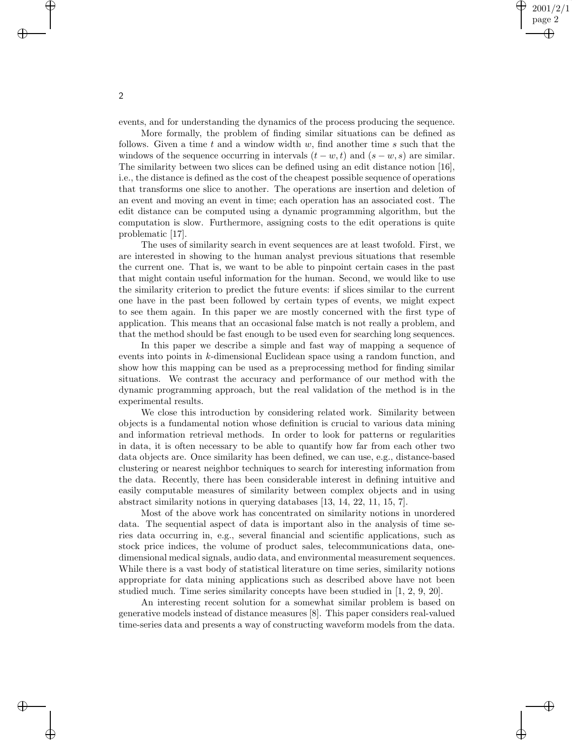events, and for understanding the dynamics of the process producing the sequence.

More formally, the problem of finding similar situations can be defined as follows. Given a time t and a window width  $w$ , find another time s such that the windows of the sequence occurring in intervals  $(t - w, t)$  and  $(s - w, s)$  are similar. The similarity between two slices can be defined using an edit distance notion [16], i.e., the distance is defined as the cost of the cheapest possible sequence of operations that transforms one slice to another. The operations are insertion and deletion of an event and moving an event in time; each operation has an associated cost. The edit distance can be computed using a dynamic programming algorithm, but the computation is slow. Furthermore, assigning costs to the edit operations is quite problematic [17].

The uses of similarity search in event sequences are at least twofold. First, we are interested in showing to the human analyst previous situations that resemble the current one. That is, we want to be able to pinpoint certain cases in the past that might contain useful information for the human. Second, we would like to use the similarity criterion to predict the future events: if slices similar to the current one have in the past been followed by certain types of events, we might expect to see them again. In this paper we are mostly concerned with the first type of application. This means that an occasional false match is not really a problem, and that the method should be fast enough to be used even for searching long sequences.

In this paper we describe a simple and fast way of mapping a sequence of events into points in k-dimensional Euclidean space using a random function, and show how this mapping can be used as a preprocessing method for finding similar situations. We contrast the accuracy and performance of our method with the dynamic programming approach, but the real validation of the method is in the experimental results.

We close this introduction by considering related work. Similarity between objects is a fundamental notion whose definition is crucial to various data mining and information retrieval methods. In order to look for patterns or regularities in data, it is often necessary to be able to quantify how far from each other two data objects are. Once similarity has been defined, we can use, e.g., distance-based clustering or nearest neighbor techniques to search for interesting information from the data. Recently, there has been considerable interest in defining intuitive and easily computable measures of similarity between complex objects and in using abstract similarity notions in querying databases [13, 14, 22, 11, 15, 7].

Most of the above work has concentrated on similarity notions in unordered data. The sequential aspect of data is important also in the analysis of time series data occurring in, e.g., several financial and scientific applications, such as stock price indices, the volume of product sales, telecommunications data, onedimensional medical signals, audio data, and environmental measurement sequences. While there is a vast body of statistical literature on time series, similarity notions appropriate for data mining applications such as described above have not been studied much. Time series similarity concepts have been studied in [1, 2, 9, 20].

An interesting recent solution for a somewhat similar problem is based on generative models instead of distance measures [8]. This paper considers real-valued time-series data and presents a way of constructing waveform models from the data.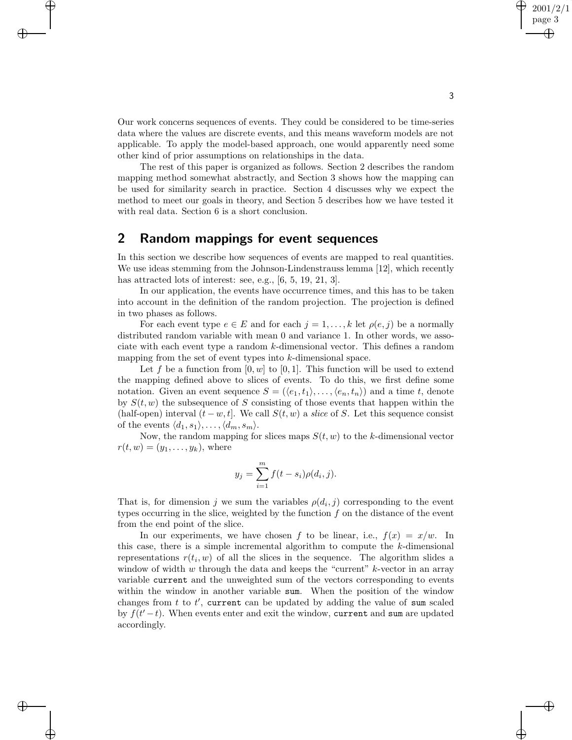Our work concerns sequences of events. They could be considered to be time-series data where the values are discrete events, and this means waveform models are not applicable. To apply the model-based approach, one would apparently need some other kind of prior assumptions on relationships in the data.

The rest of this paper is organized as follows. Section 2 describes the random mapping method somewhat abstractly, and Section 3 shows how the mapping can be used for similarity search in practice. Section 4 discusses why we expect the method to meet our goals in theory, and Section 5 describes how we have tested it with real data. Section 6 is a short conclusion.

## **2 Random mappings for event sequences**

In this section we describe how sequences of events are mapped to real quantities. We use ideas stemming from the Johnson-Lindenstrauss lemma [12], which recently has attracted lots of interest: see, e.g., [6, 5, 19, 21, 3].

In our application, the events have occurrence times, and this has to be taken into account in the definition of the random projection. The projection is defined in two phases as follows.

For each event type  $e \in E$  and for each  $j = 1, \ldots, k$  let  $\rho(e, j)$  be a normally distributed random variable with mean 0 and variance 1. In other words, we associate with each event type a random k-dimensional vector. This defines a random mapping from the set of event types into k-dimensional space.

Let f be a function from  $[0, w]$  to  $[0, 1]$ . This function will be used to extend the mapping defined above to slices of events. To do this, we first define some notation. Given an event sequence  $S = (\langle e_1, t_1 \rangle, \ldots, \langle e_n, t_n \rangle)$  and a time t, denote by  $S(t, w)$  the subsequence of S consisting of those events that happen within the (half-open) interval  $(t - w, t]$ . We call  $S(t, w)$  a *slice* of S. Let this sequence consist of the events  $\langle d_1, s_1 \rangle, \ldots, \langle d_m, s_m \rangle$ .

Now, the random mapping for slices maps  $S(t, w)$  to the k-dimensional vector  $r(t, w)=(y_1,\ldots,y_k)$ , where

$$
y_j = \sum_{i=1}^{m} f(t - s_i) \rho(d_i, j).
$$

That is, for dimension j we sum the variables  $\rho(d_i, j)$  corresponding to the event types occurring in the slice, weighted by the function  $f$  on the distance of the event from the end point of the slice.

In our experiments, we have chosen f to be linear, i.e.,  $f(x) = x/w$ . In this case, there is a simple incremental algorithm to compute the k-dimensional representations  $r(t_i, w)$  of all the slices in the sequence. The algorithm slides a window of width w through the data and keeps the "current"  $k$ -vector in an array variable current and the unweighted sum of the vectors corresponding to events within the window in another variable sum. When the position of the window changes from  $t$  to  $t'$ , current can be updated by adding the value of sum scaled by  $f(t'-t)$ . When events enter and exit the window, current and sum are updated accordingly.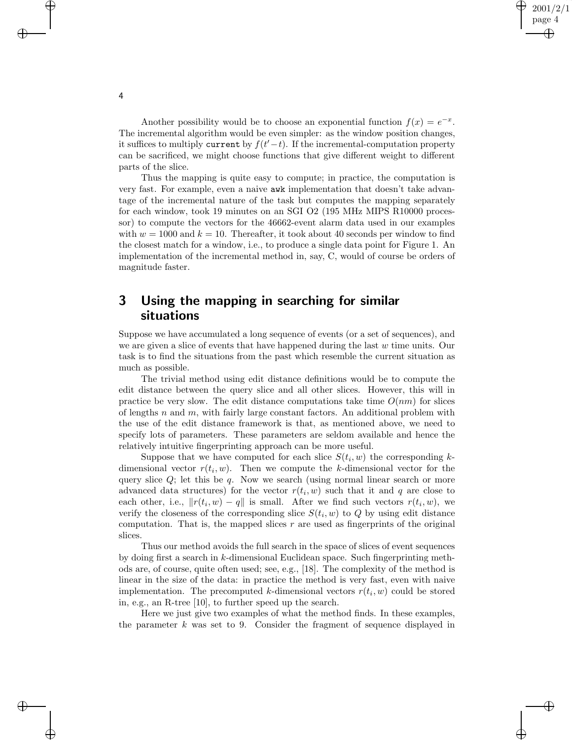Another possibility would be to choose an exponential function  $f(x) = e^{-x}$ . The incremental algorithm would be even simpler: as the window position changes, it suffices to multiply current by  $f(t'-t)$ . If the incremental-computation property can be sacrificed, we might choose functions that give different weight to different parts of the slice.

Thus the mapping is quite easy to compute; in practice, the computation is very fast. For example, even a naive awk implementation that doesn't take advantage of the incremental nature of the task but computes the mapping separately for each window, took 19 minutes on an SGI O2 (195 MHz MIPS R10000 processor) to compute the vectors for the 46662-event alarm data used in our examples with  $w = 1000$  and  $k = 10$ . Thereafter, it took about 40 seconds per window to find the closest match for a window, i.e., to produce a single data point for Figure 1. An implementation of the incremental method in, say, C, would of course be orders of magnitude faster.

## **3 Using the mapping in searching for similar situations**

Suppose we have accumulated a long sequence of events (or a set of sequences), and we are given a slice of events that have happened during the last  $w$  time units. Our task is to find the situations from the past which resemble the current situation as much as possible.

The trivial method using edit distance definitions would be to compute the edit distance between the query slice and all other slices. However, this will in practice be very slow. The edit distance computations take time  $O(nm)$  for slices of lengths n and  $m$ , with fairly large constant factors. An additional problem with the use of the edit distance framework is that, as mentioned above, we need to specify lots of parameters. These parameters are seldom available and hence the relatively intuitive fingerprinting approach can be more useful.

Suppose that we have computed for each slice  $S(t_i, w)$  the corresponding kdimensional vector  $r(t_i, w)$ . Then we compute the k-dimensional vector for the query slice  $Q$ ; let this be  $q$ . Now we search (using normal linear search or more advanced data structures) for the vector  $r(t_i, w)$  such that it and q are close to each other, i.e.,  $\|r(t_i, w) - q\|$  is small. After we find such vectors  $r(t_i, w)$ , we verify the closeness of the corresponding slice  $S(t_i, w)$  to  $Q$  by using edit distance computation. That is, the mapped slices  $r$  are used as fingerprints of the original slices.

Thus our method avoids the full search in the space of slices of event sequences by doing first a search in  $k$ -dimensional Euclidean space. Such fingerprinting methods are, of course, quite often used; see, e.g., [18]. The complexity of the method is linear in the size of the data: in practice the method is very fast, even with naive implementation. The precomputed k-dimensional vectors  $r(t_i, w)$  could be stored in, e.g., an R-tree [10], to further speed up the search.

Here we just give two examples of what the method finds. In these examples, the parameter  $k$  was set to 9. Consider the fragment of sequence displayed in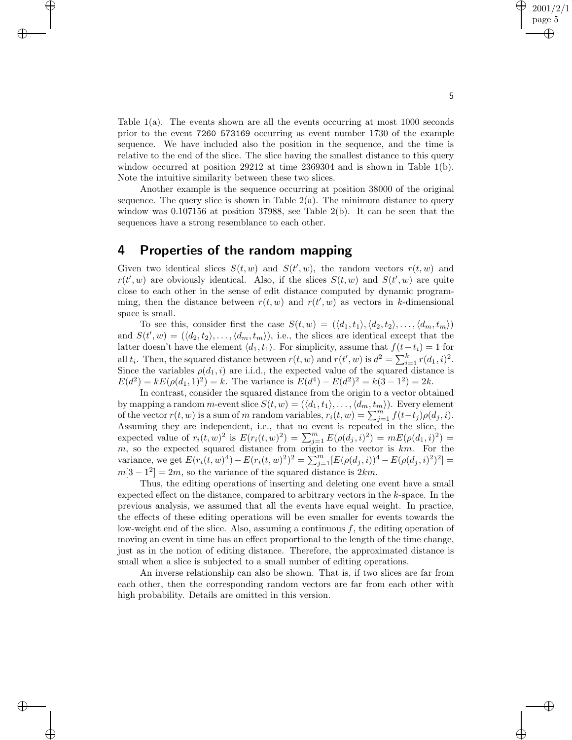Table 1(a). The events shown are all the events occurring at most 1000 seconds prior to the event 7260 573169 occurring as event number 1730 of the example sequence. We have included also the position in the sequence, and the time is relative to the end of the slice. The slice having the smallest distance to this query window occurred at position 29212 at time 2369304 and is shown in Table 1(b). Note the intuitive similarity between these two slices.

Another example is the sequence occurring at position 38000 of the original sequence. The query slice is shown in Table  $2(a)$ . The minimum distance to query window was  $0.107156$  at position 37988, see Table  $2(b)$ . It can be seen that the sequences have a strong resemblance to each other.

### **4 Properties of the random mapping**

Given two identical slices  $S(t, w)$  and  $S(t', w)$ , the random vectors  $r(t, w)$  and  $r(t', w)$  are obviously identical. Also, if the slices  $S(t, w)$  and  $S(t', w)$  are quite close to each other in the sense of edit distance computed by dynamic programming, then the distance between  $r(t, w)$  and  $r(t', w)$  as vectors in k-dimensional space is small.

To see this, consider first the case  $S(t, w) = (\langle d_1, t_1 \rangle, \langle d_2, t_2 \rangle, \ldots, \langle d_m, t_m \rangle)$ and  $S(t', w) = (\langle d_2, t_2 \rangle, \ldots, \langle d_m, t_m \rangle)$ , i.e., the slices are identical except that the latter doesn't have the element  $\langle d_1, t_1 \rangle$ . For simplicity, assume that  $f(t-t_i) = 1$  for all  $t_i$ . Then, the squared distance between  $r(t, w)$  and  $r(t', w)$  is  $d^2 = \sum_{i=1}^k r(d_1, i)^2$ . Since the variables  $\rho(d_1, i)$  are i.i.d., the expected value of the squared distance is  $E(d^2) = kE(\rho(d_1, 1)^2) = k$ . The variance is  $E(d^4) - E(d^2)^2 = k(3 - 1^2) = 2k$ .

In contrast, consider the squared distance from the origin to a vector obtained by mapping a random m-event slice  $S(t, w) = (\langle d_1, t_1 \rangle, \ldots, \langle d_m, t_m \rangle)$ . Every element of the vector  $r(t, w)$  is a sum of m random variables,  $r_i(t, w) = \sum_{j=1}^{m'} f(t-t_j) \rho(d_j, i)$ . Assuming they are independent, i.e., that no event is repeated in the slice, the expected value of  $r_i(t, w)^2$  is  $E(r_i(t, w)^2) = \sum_{j=1}^m E(\rho(d_j, i)^2) = mE(\rho(d_1, i)^2) =$  $m$ , so the expected squared distance from origin to the vector is  $km$ . For the variance, we get  $E(r_i(t, w)^4) - E(r_i(t, w)^2)^2 = \sum_{j=1}^m [E(\rho(d_j, i))^4 - E(\rho(d_j, i)^2)^2] =$  $m[3-1^2]=2m$ , so the variance of the squared distance is  $2km$ .

Thus, the editing operations of inserting and deleting one event have a small expected effect on the distance, compared to arbitrary vectors in the  $k$ -space. In the previous analysis, we assumed that all the events have equal weight. In practice, the effects of these editing operations will be even smaller for events towards the low-weight end of the slice. Also, assuming a continuous  $f$ , the editing operation of moving an event in time has an effect proportional to the length of the time change, just as in the notion of editing distance. Therefore, the approximated distance is small when a slice is subjected to a small number of editing operations.

An inverse relationship can also be shown. That is, if two slices are far from each other, then the corresponding random vectors are far from each other with high probability. Details are omitted in this version.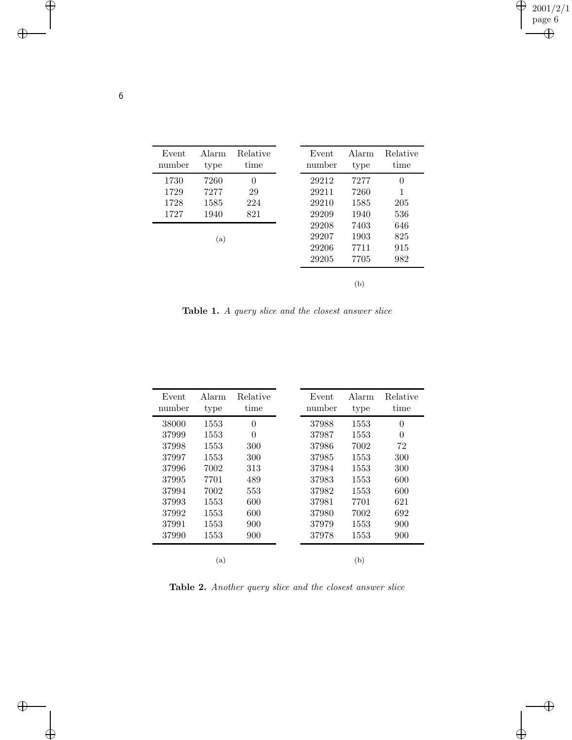| Event<br>number | Alarm<br>type | Relative<br>time | Event<br>number | Alarm<br>type | Relative<br>time |
|-----------------|---------------|------------------|-----------------|---------------|------------------|
| 1730            | 7260          | $\Omega$         | 29212           | 7277          | $\theta$         |
| 1729            | 7277          | 29               | 29211           | 7260          | 1                |
| 1728            | 1585          | 224              | 29210           | 1585          | 205              |
| 1727            | 1940          | 821              | 29209           | 1940          | 536              |
|                 |               |                  | 29208           | 7403          | 646              |
|                 | (a)           |                  | 29207           | 1903          | 825              |
|                 |               |                  | 29206           | 7711          | 915              |
|                 |               |                  | 29205           | 7705          | 982              |
|                 |               |                  |                 | (b)           |                  |

**Table 1.** *A query slice and the closest answer slice*

| Event<br>number | Alarm<br>type | Relative<br>time | Event<br>number | Alarm<br>type | Relative<br>time |
|-----------------|---------------|------------------|-----------------|---------------|------------------|
| 38000           | 1553          | $\Omega$         | 37988           | 1553          | $\theta$         |
| 37999           | 1553          | $\Omega$         | 37987           | 1553          | 0                |
| 37998           | 1553          | 300              | 37986           | 7002          | 72               |
| 37997           | 1553          | 300              | 37985           | 1553          | 300              |
| 37996           | 7002          | 313              | 37984           | 1553          | 300              |
| 37995           | 7701          | 489              | 37983           | 1553          | 600              |
| 37994           | 7002          | 553              | 37982           | 1553          | 600              |
| 37993           | 1553          | 600              | 37981           | 7701          | 621              |
| 37992           | 1553          | 600              | 37980           | 7002          | 692              |
| 37991           | 1553          | 900              | 37979           | 1553          | 900              |
| 37990           | 1553          | 900              | 37978           | 1553          | 900              |
|                 | (a)           |                  |                 | (b)           |                  |

**Table 2.** *Another query slice and the closest answer slice*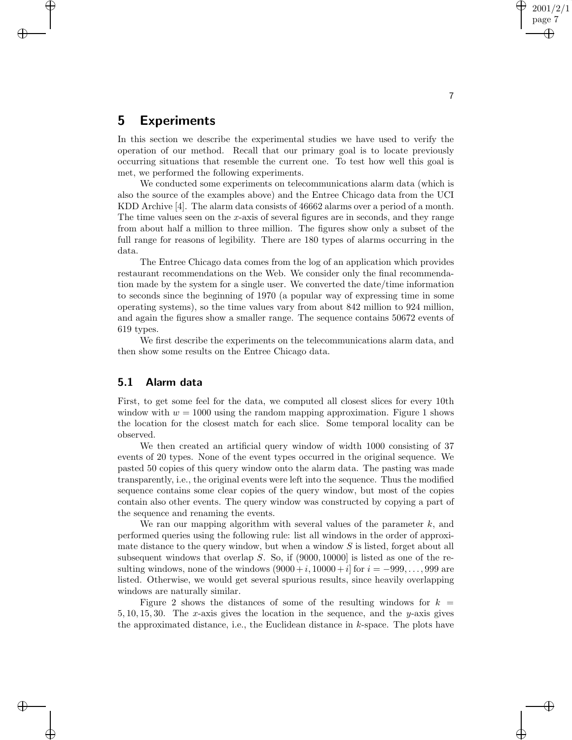## **5 Experiments**

In this section we describe the experimental studies we have used to verify the operation of our method. Recall that our primary goal is to locate previously occurring situations that resemble the current one. To test how well this goal is met, we performed the following experiments.

We conducted some experiments on telecommunications alarm data (which is also the source of the examples above) and the Entree Chicago data from the UCI KDD Archive [4]. The alarm data consists of 46662 alarms over a period of a month. The time values seen on the x-axis of several figures are in seconds, and they range from about half a million to three million. The figures show only a subset of the full range for reasons of legibility. There are 180 types of alarms occurring in the data.

The Entree Chicago data comes from the log of an application which provides restaurant recommendations on the Web. We consider only the final recommendation made by the system for a single user. We converted the date/time information to seconds since the beginning of 1970 (a popular way of expressing time in some operating systems), so the time values vary from about 842 million to 924 million, and again the figures show a smaller range. The sequence contains 50672 events of 619 types.

We first describe the experiments on the telecommunications alarm data, and then show some results on the Entree Chicago data.

#### **5.1 Alarm data**

First, to get some feel for the data, we computed all closest slices for every 10th window with  $w = 1000$  using the random mapping approximation. Figure 1 shows the location for the closest match for each slice. Some temporal locality can be observed.

We then created an artificial query window of width 1000 consisting of 37 events of 20 types. None of the event types occurred in the original sequence. We pasted 50 copies of this query window onto the alarm data. The pasting was made transparently, i.e., the original events were left into the sequence. Thus the modified sequence contains some clear copies of the query window, but most of the copies contain also other events. The query window was constructed by copying a part of the sequence and renaming the events.

We ran our mapping algorithm with several values of the parameter  $k$ , and performed queries using the following rule: list all windows in the order of approximate distance to the query window, but when a window  $S$  is listed, forget about all subsequent windows that overlap  $S$ . So, if (9000, 10000) is listed as one of the resulting windows, none of the windows  $(9000 + i, 10000 + i)$  for  $i = -999, \ldots, 999$  are listed. Otherwise, we would get several spurious results, since heavily overlapping windows are naturally similar.

Figure 2 shows the distances of some of the resulting windows for  $k =$ 5, 10, 15, 30. The x-axis gives the location in the sequence, and the y-axis gives the approximated distance, i.e., the Euclidean distance in  $k$ -space. The plots have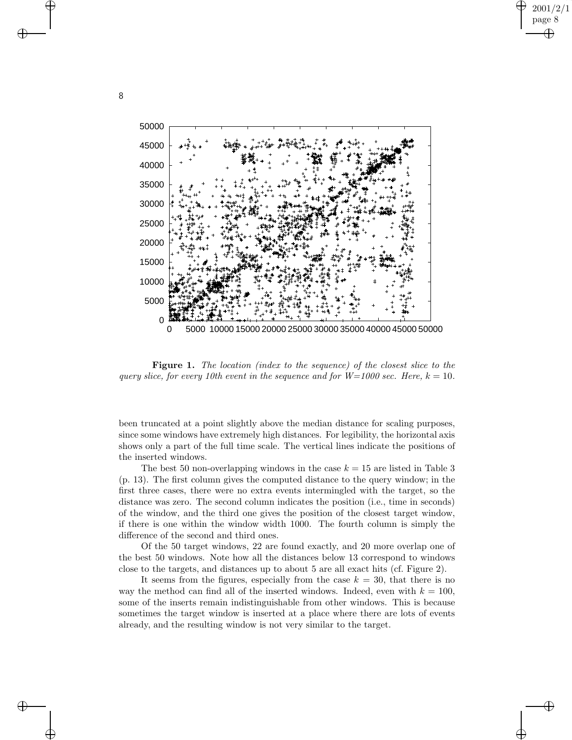

**Figure 1.** *The location (index to the sequence) of the closest slice to the query slice, for every 10th event in the sequence and for*  $W=1000$  *sec. Here,*  $k = 10$ .

been truncated at a point slightly above the median distance for scaling purposes, since some windows have extremely high distances. For legibility, the horizontal axis shows only a part of the full time scale. The vertical lines indicate the positions of the inserted windows.

The best 50 non-overlapping windows in the case  $k = 15$  are listed in Table 3 (p. 13). The first column gives the computed distance to the query window; in the first three cases, there were no extra events intermingled with the target, so the distance was zero. The second column indicates the position (i.e., time in seconds) of the window, and the third one gives the position of the closest target window, if there is one within the window width 1000. The fourth column is simply the difference of the second and third ones.

Of the 50 target windows, 22 are found exactly, and 20 more overlap one of the best 50 windows. Note how all the distances below 13 correspond to windows close to the targets, and distances up to about 5 are all exact hits (cf. Figure 2).

It seems from the figures, especially from the case  $k = 30$ , that there is no way the method can find all of the inserted windows. Indeed, even with  $k = 100$ , some of the inserts remain indistinguishable from other windows. This is because sometimes the target window is inserted at a place where there are lots of events already, and the resulting window is not very similar to the target.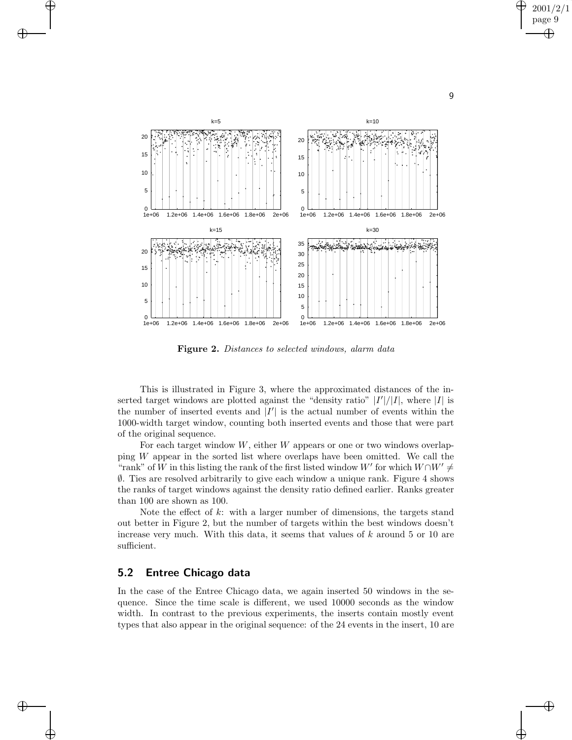

**Figure 2.** *Distances to selected windows, alarm data*

This is illustrated in Figure 3, where the approximated distances of the inserted target windows are plotted against the "density ratio"  $|I'|/|I|$ , where |I| is the number of inserted events and  $|I'|$  is the actual number of events within the 1000-width target window, counting both inserted events and those that were part of the original sequence.

For each target window  $W$ , either  $W$  appears or one or two windows overlapping W appear in the sorted list where overlaps have been omitted. We call the "rank" of W in this listing the rank of the first listed window  $W'$  for which  $W\cap W'\neq$ ∅. Ties are resolved arbitrarily to give each window a unique rank. Figure 4 shows the ranks of target windows against the density ratio defined earlier. Ranks greater than 100 are shown as 100.

Note the effect of k: with a larger number of dimensions, the targets stand out better in Figure 2, but the number of targets within the best windows doesn't increase very much. With this data, it seems that values of  $k$  around 5 or 10 are sufficient.

#### **5.2 Entree Chicago data**

In the case of the Entree Chicago data, we again inserted 50 windows in the sequence. Since the time scale is different, we used 10000 seconds as the window width. In contrast to the previous experiments, the inserts contain mostly event types that also appear in the original sequence: of the 24 events in the insert, 10 are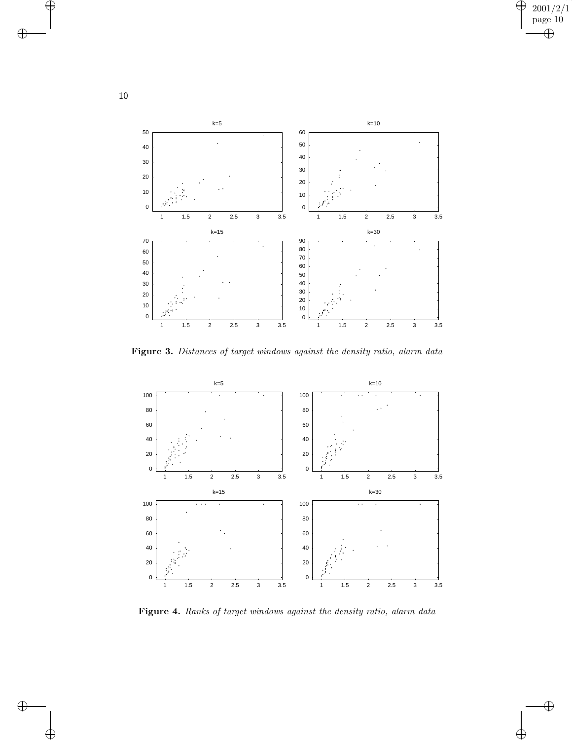

**Figure 3.** *Distances of target windows against the density ratio, alarm data*



**Figure 4.** *Ranks of target windows against the density ratio, alarm data*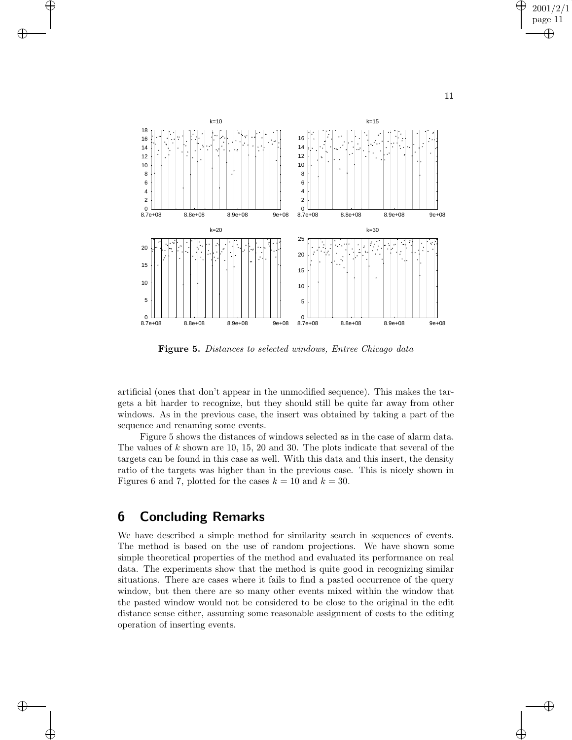

**Figure 5.** *Distances to selected windows, Entree Chicago data*

artificial (ones that don't appear in the unmodified sequence). This makes the targets a bit harder to recognize, but they should still be quite far away from other windows. As in the previous case, the insert was obtained by taking a part of the sequence and renaming some events.

Figure 5 shows the distances of windows selected as in the case of alarm data. The values of  $k$  shown are 10, 15, 20 and 30. The plots indicate that several of the targets can be found in this case as well. With this data and this insert, the density ratio of the targets was higher than in the previous case. This is nicely shown in Figures 6 and 7, plotted for the cases  $k = 10$  and  $k = 30$ .

## **6 Concluding Remarks**

We have described a simple method for similarity search in sequences of events. The method is based on the use of random projections. We have shown some simple theoretical properties of the method and evaluated its performance on real data. The experiments show that the method is quite good in recognizing similar situations. There are cases where it fails to find a pasted occurrence of the query window, but then there are so many other events mixed within the window that the pasted window would not be considered to be close to the original in the edit distance sense either, assuming some reasonable assignment of costs to the editing operation of inserting events.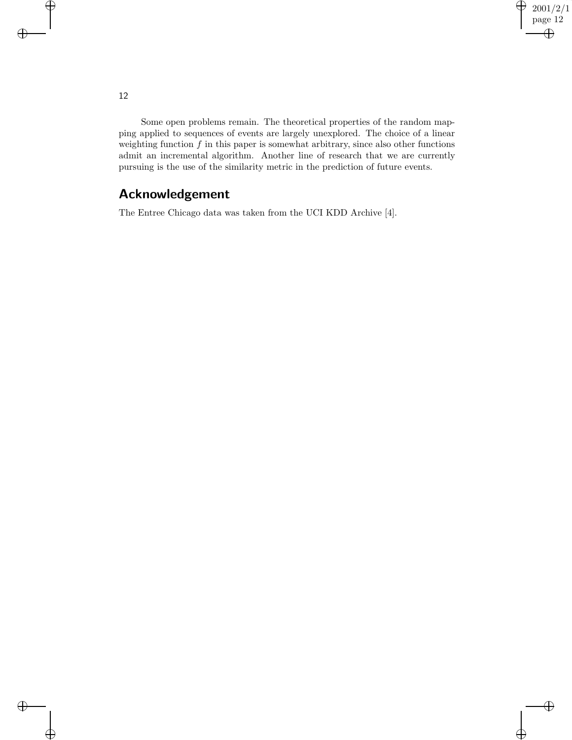Some open problems remain. The theoretical properties of the random mapping applied to sequences of events are largely unexplored. The choice of a linear weighting function  $f$  in this paper is somewhat arbitrary, since also other functions admit an incremental algorithm. Another line of research that we are currently pursuing is the use of the similarity metric in the prediction of future events.

## **Acknowledgement**

The Entree Chicago data was taken from the UCI KDD Archive [4].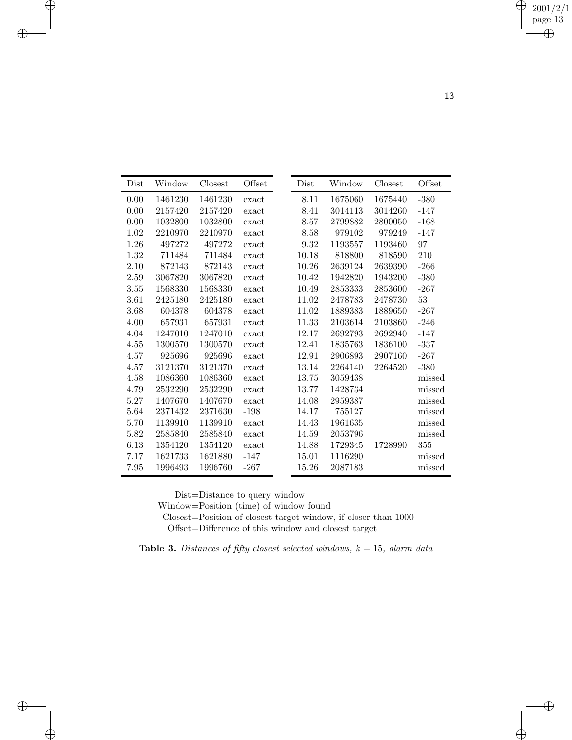| Dist | Window  | Closest | Offset | Dist  | Window  | Closest | Offset        |
|------|---------|---------|--------|-------|---------|---------|---------------|
|      |         |         |        |       |         |         |               |
| 0.00 | 1461230 | 1461230 | exact  | 8.11  | 1675060 | 1675440 | $-380$        |
| 0.00 | 2157420 | 2157420 | exact  | 8.41  | 3014113 | 3014260 | $-147$        |
| 0.00 | 1032800 | 1032800 | exact  | 8.57  | 2799882 | 2800050 | $-168$        |
| 1.02 | 2210970 | 2210970 | exact  | 8.58  | 979102  | 979249  | $-147$        |
| 1.26 | 497272  | 497272  | exact  | 9.32  | 1193557 | 1193460 | 97            |
| 1.32 | 711484  | 711484  | exact  | 10.18 | 818800  | 818590  | $210\,$       |
| 2.10 | 872143  | 872143  | exact  | 10.26 | 2639124 | 2639390 | $-266$        |
| 2.59 | 3067820 | 3067820 | exact  | 10.42 | 1942820 | 1943200 | $-380$        |
| 3.55 | 1568330 | 1568330 | exact  | 10.49 | 2853333 | 2853600 | $-267$        |
| 3.61 | 2425180 | 2425180 | exact  | 11.02 | 2478783 | 2478730 | 53            |
| 3.68 | 604378  | 604378  | exact  | 11.02 | 1889383 | 1889650 | $-267$        |
| 4.00 | 657931  | 657931  | exact  | 11.33 | 2103614 | 2103860 | $-246$        |
| 4.04 | 1247010 | 1247010 | exact  | 12.17 | 2692793 | 2692940 | $-147$        |
| 4.55 | 1300570 | 1300570 | exact  | 12.41 | 1835763 | 1836100 | $-337$        |
| 4.57 | 925696  | 925696  | exact  | 12.91 | 2906893 | 2907160 | $-267$        |
| 4.57 | 3121370 | 3121370 | exact  | 13.14 | 2264140 | 2264520 | $-380$        |
| 4.58 | 1086360 | 1086360 | exact  | 13.75 | 3059438 |         | missed        |
| 4.79 | 2532290 | 2532290 | exact  | 13.77 | 1428734 |         | missed        |
| 5.27 | 1407670 | 1407670 | exact  | 14.08 | 2959387 |         | missed        |
| 5.64 | 2371432 | 2371630 | $-198$ | 14.17 | 755127  |         | missed        |
| 5.70 | 1139910 | 1139910 | exact  | 14.43 | 1961635 |         | missed        |
| 5.82 | 2585840 | 2585840 | exact  | 14.59 | 2053796 |         | $\it{missed}$ |
| 6.13 | 1354120 | 1354120 | exact  | 14.88 | 1729345 | 1728990 | 355           |
| 7.17 | 1621733 | 1621880 | $-147$ | 15.01 | 1116290 |         | missed        |
| 7.95 | 1996493 | 1996760 | $-267$ | 15.26 | 2087183 |         | missed        |

Dist=Distance to query window

Window=Position (time) of window found

Closest=Position of closest target window, if closer than 1000 Offset=Difference of this window and closest target

**Table 3.** *Distances of fifty closest selected windows,* <sup>k</sup> = 15*, alarm data*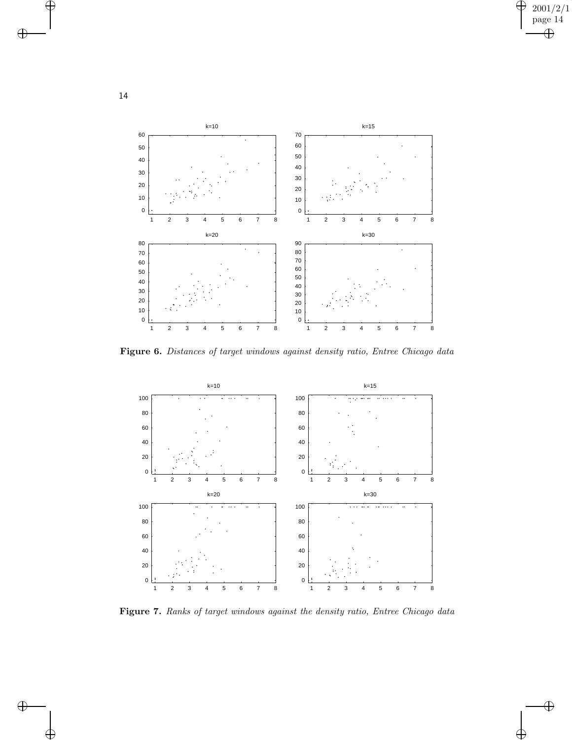

**Figure 6.** *Distances of target windows against density ratio, Entree Chicago data*



**Figure 7.** *Ranks of target windows against the density ratio, Entree Chicago data*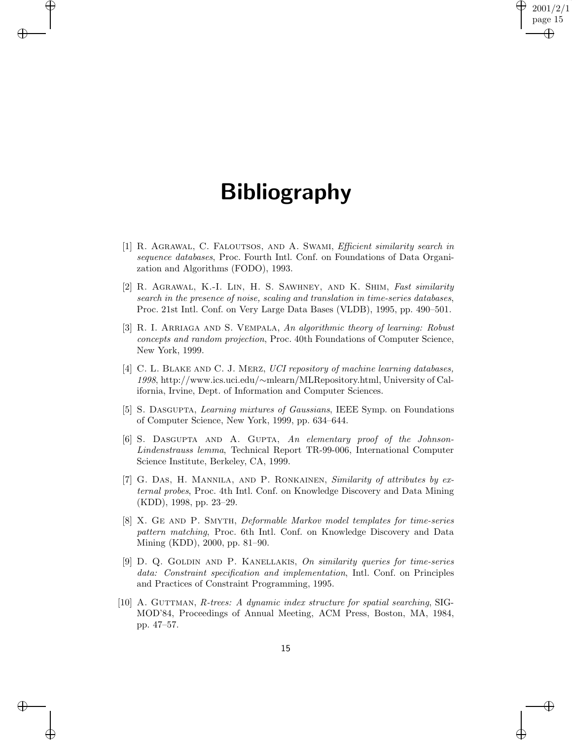## **Bibliography**

- [1] R. Agrawal, C. Faloutsos, and A. Swami, *Efficient similarity search in sequence databases*, Proc. Fourth Intl. Conf. on Foundations of Data Organization and Algorithms (FODO), 1993.
- [2] R. Agrawal, K.-I. Lin, H. S. Sawhney, and K. Shim, *Fast similarity search in the presence of noise, scaling and translation in time-series databases*, Proc. 21st Intl. Conf. on Very Large Data Bases (VLDB), 1995, pp. 490–501.
- [3] R. I. Arriaga and S. Vempala, *An algorithmic theory of learning: Robust concepts and random projection*, Proc. 40th Foundations of Computer Science, New York, 1999.
- [4] C. L. Blake and C. J. Merz, *UCI repository of machine learning databases, 1998*, http://www.ics.uci.edu/∼[mlearn/MLRepository.html,](http://www.ics.uci.edu/~mlearn/MLRepository.html) University of California, Irvine, Dept. of Information and Computer Sciences.
- [5] S. Dasgupta, *Learning mixtures of Gaussians*, IEEE Symp. on Foundations of Computer Science, New York, 1999, pp. 634–644.
- [6] S. Dasgupta and A. Gupta, *An elementary proof of the Johnson-Lindenstrauss lemma*, Technical Report TR-99-006, International Computer Science Institute, Berkeley, CA, 1999.
- [7] G. Das, H. Mannila, and P. Ronkainen, *Similarity of attributes by external probes*, Proc. 4th Intl. Conf. on Knowledge Discovery and Data Mining (KDD), 1998, pp. 23–29.
- [8] X. Ge and P. Smyth, *Deformable Markov model templates for time-series pattern matching*, Proc. 6th Intl. Conf. on Knowledge Discovery and Data Mining (KDD), 2000, pp. 81–90.
- [9] D. Q. Goldin and P. Kanellakis, *On similarity queries for time-series data: Constraint specification and implementation*, Intl. Conf. on Principles and Practices of Constraint Programming, 1995.
- [10] A. GUTTMAN, *R*-trees: A dynamic index structure for spatial searching, SIG-MOD'84, Proceedings of Annual Meeting, ACM Press, Boston, MA, 1984, pp. 47–57.